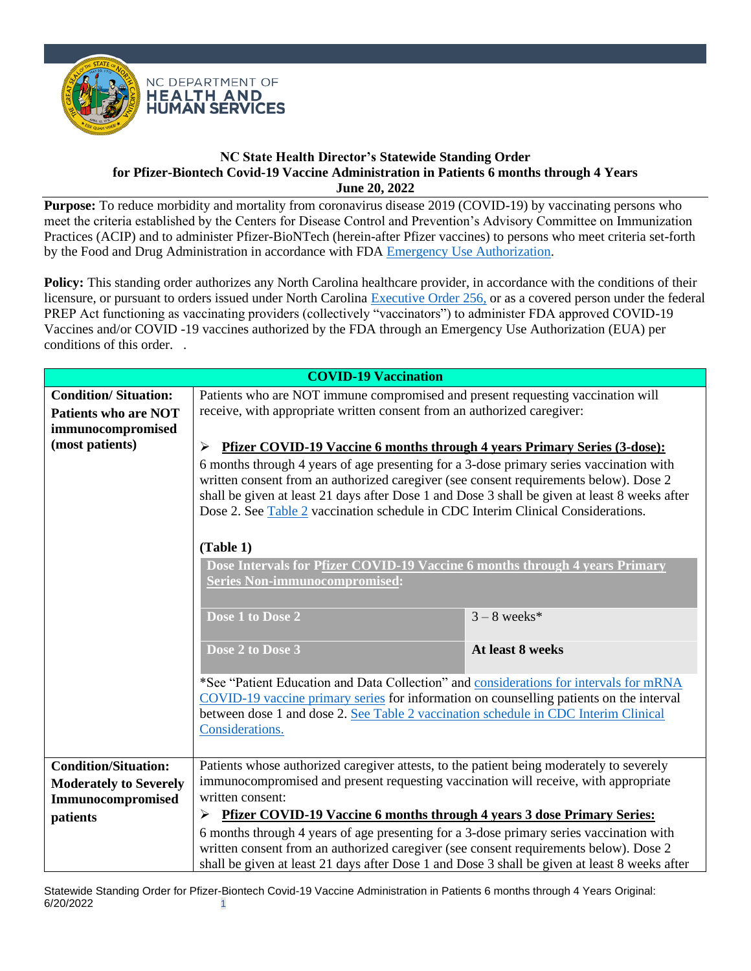

**Purpose:** To reduce morbidity and mortality from coronavirus disease 2019 (COVID-19) by vaccinating persons who meet the criteria established by the Centers for Disease Control and Prevention's Advisory Committee on Immunization Practices (ACIP) and to administer Pfizer-BioNTech (herein-after Pfizer vaccines) to persons who meet criteria set-forth by the Food and Drug Administration in accordance with FDA [Emergency Use Authorization.](https://labeling.pfizer.com/ShowLabeling.aspx?id=16073&format=pdf)

Policy: This standing order authorizes any North Carolina healthcare provider, in accordance with the conditions of their licensure, or pursuant to orders issued under North Carolina [Executive Order 256,](https://governor.nc.gov/media/3160/open) or as a covered person under the federal PREP Act functioning as vaccinating providers (collectively "vaccinators") to administer FDA approved COVID-19 Vaccines and/or COVID -19 vaccines authorized by the FDA through an Emergency Use Authorization (EUA) per conditions of this order. .

| <b>COVID-19 Vaccination</b>                                                     |                                                                                                                                                                                                                                                                                                                                                                                                                                                                |                  |
|---------------------------------------------------------------------------------|----------------------------------------------------------------------------------------------------------------------------------------------------------------------------------------------------------------------------------------------------------------------------------------------------------------------------------------------------------------------------------------------------------------------------------------------------------------|------------------|
| <b>Condition/Situation:</b><br><b>Patients who are NOT</b><br>immunocompromised | Patients who are NOT immune compromised and present requesting vaccination will<br>receive, with appropriate written consent from an authorized caregiver:                                                                                                                                                                                                                                                                                                     |                  |
| (most patients)                                                                 | <b>Pfizer COVID-19 Vaccine 6 months through 4 years Primary Series (3-dose):</b><br>➤<br>6 months through 4 years of age presenting for a 3-dose primary series vaccination with<br>written consent from an authorized caregiver (see consent requirements below). Dose 2<br>shall be given at least 21 days after Dose 1 and Dose 3 shall be given at least 8 weeks after<br>Dose 2. See Table 2 vaccination schedule in CDC Interim Clinical Considerations. |                  |
|                                                                                 | (Table 1)<br>Dose Intervals for Pfizer COVID-19 Vaccine 6 months through 4 years Primary<br><b>Series Non-immunocompromised:</b>                                                                                                                                                                                                                                                                                                                               |                  |
|                                                                                 | Dose 1 to Dose 2                                                                                                                                                                                                                                                                                                                                                                                                                                               | $3 - 8$ weeks*   |
|                                                                                 | Dose 2 to Dose 3                                                                                                                                                                                                                                                                                                                                                                                                                                               | At least 8 weeks |
|                                                                                 | *See "Patient Education and Data Collection" and considerations for intervals for mRNA<br>COVID-19 vaccine primary series for information on counselling patients on the interval<br>between dose 1 and dose 2. See Table 2 vaccination schedule in CDC Interim Clinical<br>Considerations.                                                                                                                                                                    |                  |
| <b>Condition/Situation:</b>                                                     | Patients whose authorized caregiver attests, to the patient being moderately to severely                                                                                                                                                                                                                                                                                                                                                                       |                  |
| <b>Moderately to Severely</b><br>Immunocompromised                              | immunocompromised and present requesting vaccination will receive, with appropriate<br>written consent:                                                                                                                                                                                                                                                                                                                                                        |                  |
| patients                                                                        | <b>Pfizer COVID-19 Vaccine 6 months through 4 years 3 dose Primary Series:</b><br>➤                                                                                                                                                                                                                                                                                                                                                                            |                  |
|                                                                                 | 6 months through 4 years of age presenting for a 3-dose primary series vaccination with<br>written consent from an authorized caregiver (see consent requirements below). Dose 2<br>shall be given at least 21 days after Dose 1 and Dose 3 shall be given at least 8 weeks after                                                                                                                                                                              |                  |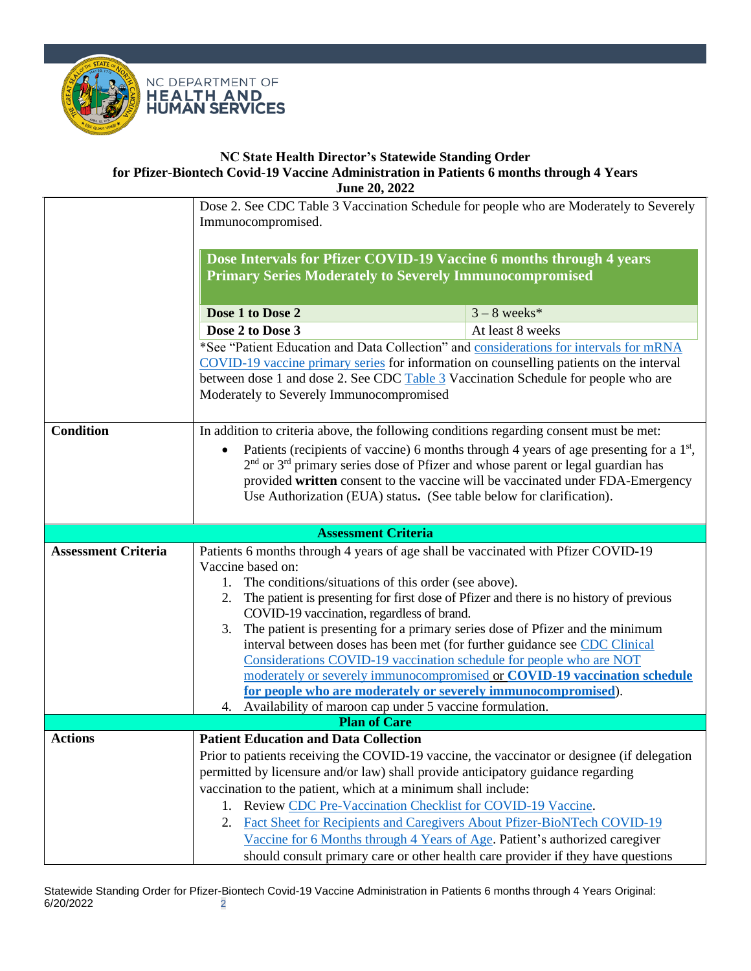



|                            | Dose 2. See CDC Table 3 Vaccination Schedule for people who are Moderately to Severely<br>Immunocompromised.                                                                      |                                                                                |  |
|----------------------------|-----------------------------------------------------------------------------------------------------------------------------------------------------------------------------------|--------------------------------------------------------------------------------|--|
|                            |                                                                                                                                                                                   |                                                                                |  |
|                            | Dose Intervals for Pfizer COVID-19 Vaccine 6 months through 4 years                                                                                                               |                                                                                |  |
|                            | <b>Primary Series Moderately to Severely Immunocompromised</b>                                                                                                                    |                                                                                |  |
|                            | Dose 1 to Dose 2                                                                                                                                                                  |                                                                                |  |
|                            | Dose 2 to Dose 3                                                                                                                                                                  | $3 - 8$ weeks*<br>At least 8 weeks                                             |  |
|                            |                                                                                                                                                                                   |                                                                                |  |
|                            | *See "Patient Education and Data Collection" and considerations for intervals for mRNA<br>COVID-19 vaccine primary series for information on counselling patients on the interval |                                                                                |  |
|                            | between dose 1 and dose 2. See CDC Table 3 Vaccination Schedule for people who are                                                                                                |                                                                                |  |
|                            | Moderately to Severely Immunocompromised                                                                                                                                          |                                                                                |  |
|                            |                                                                                                                                                                                   |                                                                                |  |
| <b>Condition</b>           | In addition to criteria above, the following conditions regarding consent must be met:                                                                                            |                                                                                |  |
|                            | Patients (recipients of vaccine) 6 months through 4 years of age presenting for a 1 <sup>st</sup> ,<br>$\bullet$                                                                  |                                                                                |  |
|                            | 2 <sup>nd</sup> or 3 <sup>rd</sup> primary series dose of Pfizer and whose parent or legal guardian has                                                                           |                                                                                |  |
|                            | Use Authorization (EUA) status. (See table below for clarification).                                                                                                              | provided written consent to the vaccine will be vaccinated under FDA-Emergency |  |
|                            |                                                                                                                                                                                   |                                                                                |  |
|                            | <b>Assessment Criteria</b>                                                                                                                                                        |                                                                                |  |
| <b>Assessment Criteria</b> | Patients 6 months through 4 years of age shall be vaccinated with Pfizer COVID-19                                                                                                 |                                                                                |  |
|                            | Vaccine based on:                                                                                                                                                                 |                                                                                |  |
|                            | 1. The conditions/situations of this order (see above).                                                                                                                           |                                                                                |  |
|                            | The patient is presenting for first dose of Pfizer and there is no history of previous                                                                                            |                                                                                |  |
|                            | COVID-19 vaccination, regardless of brand.                                                                                                                                        |                                                                                |  |
|                            | The patient is presenting for a primary series dose of Pfizer and the minimum<br>3.                                                                                               |                                                                                |  |
|                            | interval between doses has been met (for further guidance see CDC Clinical<br>Considerations COVID-19 vaccination schedule for people who are NOT                                 |                                                                                |  |
|                            |                                                                                                                                                                                   | moderately or severely immunocompromised or COVID-19 vaccination schedule      |  |
|                            | for people who are moderately or severely immunocompromised).                                                                                                                     |                                                                                |  |
|                            | 4. Availability of maroon cap under 5 vaccine formulation.                                                                                                                        |                                                                                |  |
|                            | <b>Plan of Care</b>                                                                                                                                                               |                                                                                |  |
| <b>Actions</b>             | <b>Patient Education and Data Collection</b>                                                                                                                                      |                                                                                |  |
|                            | Prior to patients receiving the COVID-19 vaccine, the vaccinator or designee (if delegation                                                                                       |                                                                                |  |
|                            | permitted by licensure and/or law) shall provide anticipatory guidance regarding<br>vaccination to the patient, which at a minimum shall include:                                 |                                                                                |  |
|                            | 1. Review CDC Pre-Vaccination Checklist for COVID-19 Vaccine.                                                                                                                     |                                                                                |  |
|                            | Fact Sheet for Recipients and Caregivers About Pfizer-BioNTech COVID-19<br>2.                                                                                                     |                                                                                |  |
|                            | Vaccine for 6 Months through 4 Years of Age. Patient's authorized caregiver                                                                                                       |                                                                                |  |
|                            | should consult primary care or other health care provider if they have questions                                                                                                  |                                                                                |  |

Statewide Standing Order for Pfizer-Biontech Covid-19 Vaccine Administration in Patients 6 months through 4 Years Original:<br>6/20/2022 6/20/2022 2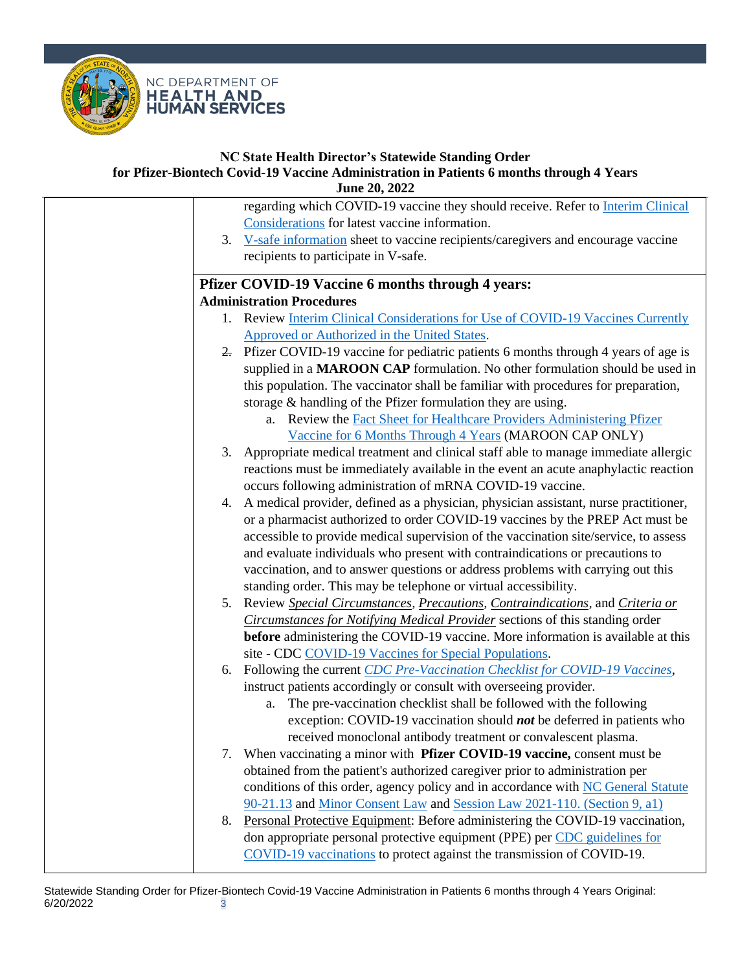

# **NC State Health Director's Statewide Standing Order**

## **for Pfizer-Biontech Covid-19 Vaccine Administration in Patients 6 months through 4 Years June 20, 2022**

|    | regarding which COVID-19 vaccine they should receive. Refer to Interim Clinical         |
|----|-----------------------------------------------------------------------------------------|
|    | Considerations for latest vaccine information.                                          |
|    | 3. V-safe information sheet to vaccine recipients/caregivers and encourage vaccine      |
|    | recipients to participate in V-safe.                                                    |
|    |                                                                                         |
|    | <b>Pfizer COVID-19 Vaccine 6 months through 4 years:</b>                                |
|    | <b>Administration Procedures</b>                                                        |
|    | 1. Review Interim Clinical Considerations for Use of COVID-19 Vaccines Currently        |
|    | Approved or Authorized in the United States.                                            |
|    | 2. Pfizer COVID-19 vaccine for pediatric patients 6 months through 4 years of age is    |
|    | supplied in a MAROON CAP formulation. No other formulation should be used in            |
|    | this population. The vaccinator shall be familiar with procedures for preparation,      |
|    | storage & handling of the Pfizer formulation they are using.                            |
|    | a. Review the Fact Sheet for Healthcare Providers Administering Pfizer                  |
|    | Vaccine for 6 Months Through 4 Years (MAROON CAP ONLY)                                  |
| 3. | Appropriate medical treatment and clinical staff able to manage immediate allergic      |
|    | reactions must be immediately available in the event an acute anaphylactic reaction     |
|    | occurs following administration of mRNA COVID-19 vaccine.                               |
| 4. | A medical provider, defined as a physician, physician assistant, nurse practitioner,    |
|    | or a pharmacist authorized to order COVID-19 vaccines by the PREP Act must be           |
|    | accessible to provide medical supervision of the vaccination site/service, to assess    |
|    | and evaluate individuals who present with contraindications or precautions to           |
|    | vaccination, and to answer questions or address problems with carrying out this         |
|    | standing order. This may be telephone or virtual accessibility.                         |
|    | 5. Review Special Circumstances, Precautions, Contraindications, and Criteria or        |
|    | Circumstances for Notifying Medical Provider sections of this standing order            |
|    | <b>before</b> administering the COVID-19 vaccine. More information is available at this |
|    | site - CDC COVID-19 Vaccines for Special Populations.                                   |
| 6. | Following the current CDC Pre-Vaccination Checklist for COVID-19 Vaccines,              |
|    | instruct patients accordingly or consult with overseeing provider.                      |
|    | The pre-vaccination checklist shall be followed with the following<br>a.                |
|    | exception: COVID-19 vaccination should <i>not</i> be deferred in patients who           |
|    | received monoclonal antibody treatment or convalescent plasma.                          |
| 7. | When vaccinating a minor with Pfizer COVID-19 vaccine, consent must be                  |
|    | obtained from the patient's authorized caregiver prior to administration per            |
|    | conditions of this order, agency policy and in accordance with NC General Statute       |
|    | 90-21.13 and Minor Consent Law and Session Law 2021-110. (Section 9, a1)                |
| 8. | Personal Protective Equipment: Before administering the COVID-19 vaccination,           |
|    | don appropriate personal protective equipment (PPE) per CDC guidelines for              |
|    | COVID-19 vaccinations to protect against the transmission of COVID-19.                  |
|    |                                                                                         |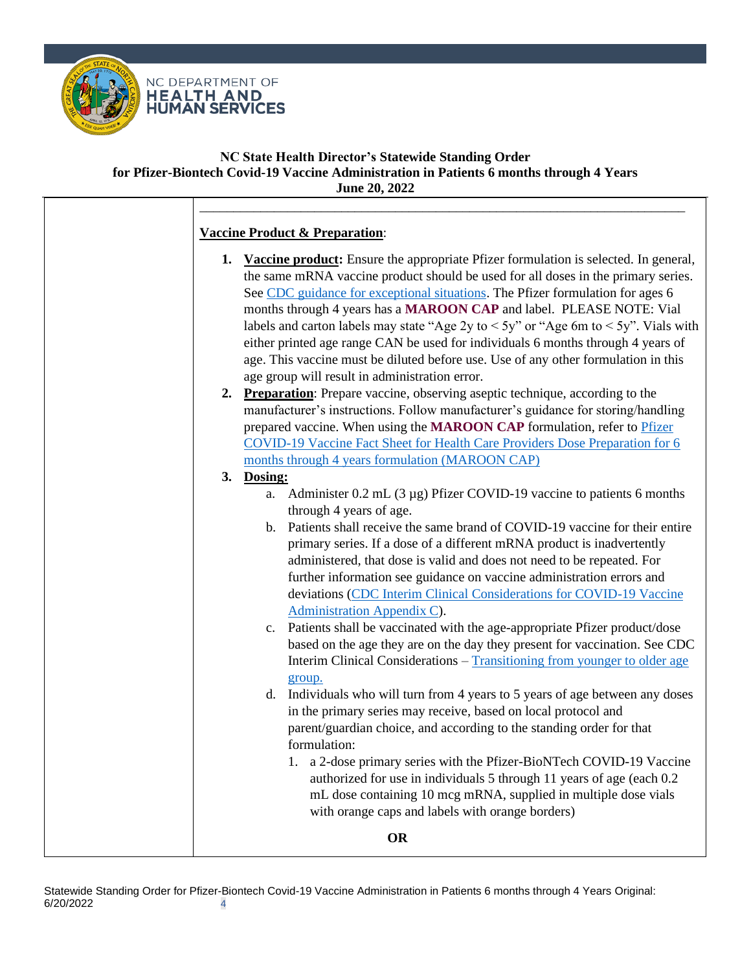

# **Vaccine Product & Preparation**:

**1. Vaccine product:** Ensure the appropriate Pfizer formulation is selected. In general, the same mRNA vaccine product should be used for all doses in the primary series. See [CDC guidance for exceptional situations.](https://www.cdc.gov/vaccines/covid-19/clinical-considerations/interim-considerations-us.html#:~:text=the%20primary%20series.-,In%20exceptional%20situations,-in%20which%20the) The Pfizer formulation for ages 6 months through 4 years has a **MAROON CAP** and label. PLEASE NOTE: Vial labels and carton labels may state "Age 2y to  $\lt 5y$ " or "Age 6m to  $\lt 5y$ ". Vials with either printed age range CAN be used for individuals 6 months through 4 years of age. This vaccine must be diluted before use. Use of any other formulation in this age group will result in administration error.

\_\_\_\_\_\_\_\_\_\_\_\_\_\_\_\_\_\_\_\_\_\_\_\_\_\_\_\_\_\_\_\_\_\_\_\_\_\_\_\_\_\_\_\_\_\_\_\_\_\_\_\_\_\_\_\_\_\_\_\_\_\_\_\_\_\_\_\_\_\_\_\_

**2. Preparation**: Prepare vaccine, observing aseptic technique, according to the manufacturer's instructions. Follow manufacturer's guidance for storing/handling prepared vaccine. When using the **MAROON CAP** formulation, refer to [Pfizer](https://www.fda.gov/media/159312/download)  [COVID-19 Vaccine Fact Sheet for Health Care Providers Dose Preparation for 6](https://www.fda.gov/media/159312/download)  [months through 4 years formulation \(MAROON CAP\)](https://www.fda.gov/media/159312/download)

# **3. Dosing:**

- a. Administer 0.2 mL (3 µg) Pfizer COVID-19 vaccine to patients 6 months through 4 years of age.
- b. Patients shall receive the same brand of COVID-19 vaccine for their entire primary series. If a dose of a different mRNA product is inadvertently administered, that dose is valid and does not need to be repeated. For further information see guidance on vaccine administration errors and deviations (CDC Interim Clinical [Considerations for COVID-19 Vaccine](https://www.cdc.gov/vaccines/covid-19/clinical-considerations/interim-considerations-us.html#appendix-c)  [Administration Appendix C\)](https://www.cdc.gov/vaccines/covid-19/clinical-considerations/interim-considerations-us.html#appendix-c).
- c. Patients shall be vaccinated with the age-appropriate Pfizer product/dose based on the age they are on the day they present for vaccination. See CDC Interim Clinical Considerations – [Transitioning from younger to older age](https://www.cdc.gov/vaccines/covid-19/clinical-considerations/interim-considerations-us.html#:~:text=for%20further%20information.-,Transitioning%20from%20a%20younger%20to%20older%20age%20group,-People%20should%20receive)  [group.](https://www.cdc.gov/vaccines/covid-19/clinical-considerations/interim-considerations-us.html#:~:text=for%20further%20information.-,Transitioning%20from%20a%20younger%20to%20older%20age%20group,-People%20should%20receive)
- d. Individuals who will turn from 4 years to 5 years of age between any doses in the primary series may receive, based on local protocol and parent/guardian choice, and according to the standing order for that formulation:
	- 1. a 2-dose primary series with the Pfizer-BioNTech COVID-19 Vaccine authorized for use in individuals 5 through 11 years of age (each 0.2 mL dose containing 10 mcg mRNA, supplied in multiple dose vials with orange caps and labels with orange borders)

**OR**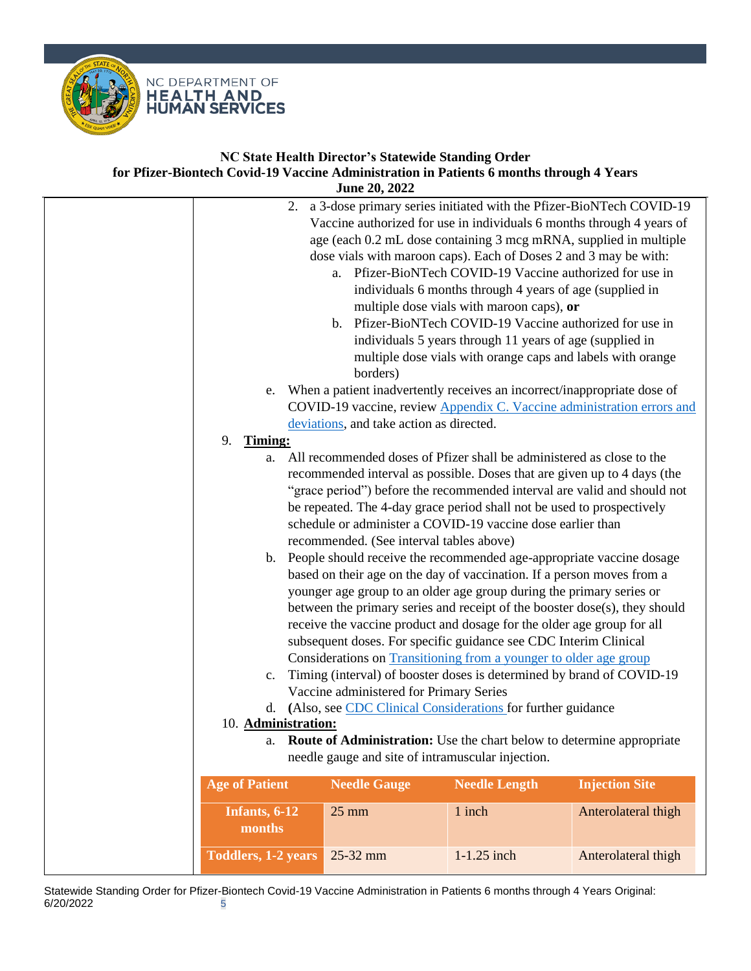

|                            | <b>June 20, 2022</b>                                                       |                                                             |                       |
|----------------------------|----------------------------------------------------------------------------|-------------------------------------------------------------|-----------------------|
| 2.                         | a 3-dose primary series initiated with the Pfizer-BioNTech COVID-19        |                                                             |                       |
|                            | Vaccine authorized for use in individuals 6 months through 4 years of      |                                                             |                       |
|                            | age (each 0.2 mL dose containing 3 mcg mRNA, supplied in multiple          |                                                             |                       |
|                            | dose vials with maroon caps). Each of Doses 2 and 3 may be with:           |                                                             |                       |
|                            |                                                                            | a. Pfizer-BioNTech COVID-19 Vaccine authorized for use in   |                       |
|                            |                                                                            | individuals 6 months through 4 years of age (supplied in    |                       |
|                            |                                                                            | multiple dose vials with maroon caps), or                   |                       |
|                            |                                                                            | b. Pfizer-BioNTech COVID-19 Vaccine authorized for use in   |                       |
|                            |                                                                            | individuals 5 years through 11 years of age (supplied in    |                       |
|                            |                                                                            | multiple dose vials with orange caps and labels with orange |                       |
|                            | borders)                                                                   |                                                             |                       |
| e.                         | When a patient inadvertently receives an incorrect/inappropriate dose of   |                                                             |                       |
|                            | COVID-19 vaccine, review Appendix C. Vaccine administration errors and     |                                                             |                       |
|                            | deviations, and take action as directed.                                   |                                                             |                       |
| 9.<br><b>Timing:</b>       |                                                                            |                                                             |                       |
|                            | a. All recommended doses of Pfizer shall be administered as close to the   |                                                             |                       |
|                            | recommended interval as possible. Doses that are given up to 4 days (the   |                                                             |                       |
|                            | "grace period") before the recommended interval are valid and should not   |                                                             |                       |
|                            | be repeated. The 4-day grace period shall not be used to prospectively     |                                                             |                       |
|                            | schedule or administer a COVID-19 vaccine dose earlier than                |                                                             |                       |
|                            | recommended. (See interval tables above)                                   |                                                             |                       |
|                            | b. People should receive the recommended age-appropriate vaccine dosage    |                                                             |                       |
|                            | based on their age on the day of vaccination. If a person moves from a     |                                                             |                       |
|                            | younger age group to an older age group during the primary series or       |                                                             |                       |
|                            | between the primary series and receipt of the booster dose(s), they should |                                                             |                       |
|                            | receive the vaccine product and dosage for the older age group for all     |                                                             |                       |
|                            | subsequent doses. For specific guidance see CDC Interim Clinical           |                                                             |                       |
|                            | Considerations on Transitioning from a younger to older age group          |                                                             |                       |
| c.                         | Timing (interval) of booster doses is determined by brand of COVID-19      |                                                             |                       |
|                            | Vaccine administered for Primary Series                                    |                                                             |                       |
|                            | d. (Also, see CDC Clinical Considerations for further guidance             |                                                             |                       |
| 10. Administration:        |                                                                            |                                                             |                       |
| a.                         | Route of Administration: Use the chart below to determine appropriate      |                                                             |                       |
|                            | needle gauge and site of intramuscular injection.                          |                                                             |                       |
| <b>Age of Patient</b>      | <b>Needle Gauge</b>                                                        | <b>Needle Length</b>                                        | <b>Injection Site</b> |
|                            |                                                                            |                                                             |                       |
| Infants, 6-12              | $25 \text{ mm}$                                                            | 1 inch                                                      | Anterolateral thigh   |
| months                     |                                                                            |                                                             |                       |
| <b>Toddlers, 1-2 years</b> | 25-32 mm                                                                   | 1-1.25 inch                                                 | Anterolateral thigh   |
|                            |                                                                            |                                                             |                       |

Statewide Standing Order for Pfizer-Biontech Covid-19 Vaccine Administration in Patients 6 months through 4 Years Original:<br>6/20/2022 5 6/20/2022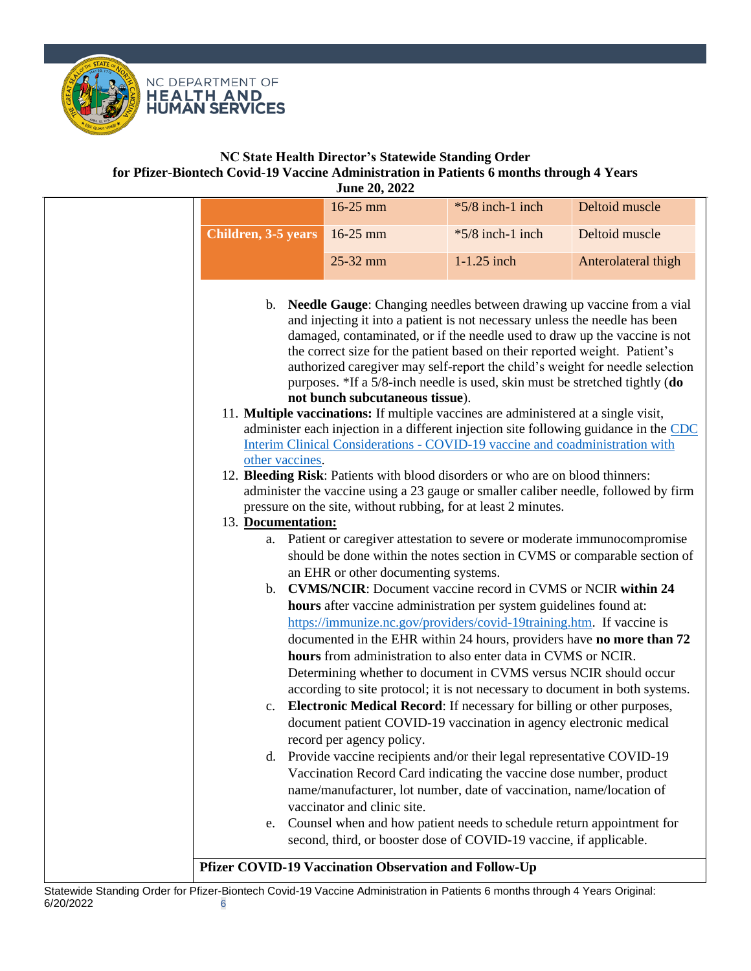

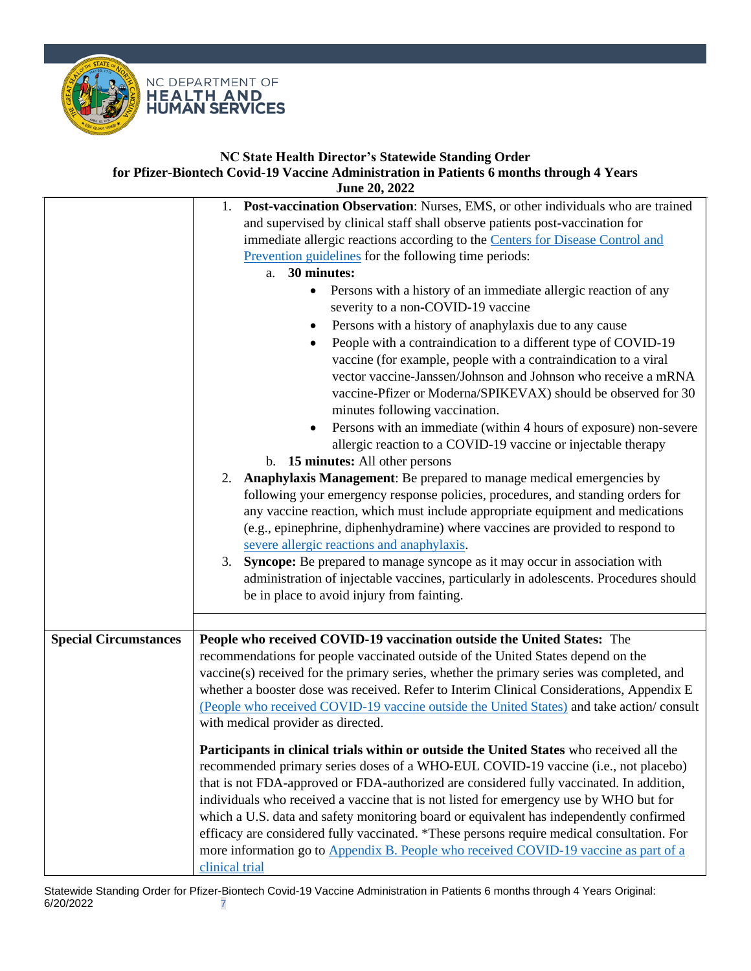

|                              | 1. Post-vaccination Observation: Nurses, EMS, or other individuals who are trained<br>and supervised by clinical staff shall observe patients post-vaccination for<br>immediate allergic reactions according to the Centers for Disease Control and<br>Prevention guidelines for the following time periods:<br>30 minutes:<br>a.                                                                                                                                                                                                                                                                                                                                       |
|------------------------------|-------------------------------------------------------------------------------------------------------------------------------------------------------------------------------------------------------------------------------------------------------------------------------------------------------------------------------------------------------------------------------------------------------------------------------------------------------------------------------------------------------------------------------------------------------------------------------------------------------------------------------------------------------------------------|
|                              | Persons with a history of an immediate allergic reaction of any<br>$\bullet$<br>severity to a non-COVID-19 vaccine<br>Persons with a history of anaphylaxis due to any cause<br>٠<br>People with a contraindication to a different type of COVID-19<br>$\bullet$<br>vaccine (for example, people with a contraindication to a viral<br>vector vaccine-Janssen/Johnson and Johnson who receive a mRNA<br>vaccine-Pfizer or Moderna/SPIKEVAX) should be observed for 30<br>minutes following vaccination.<br>Persons with an immediate (within 4 hours of exposure) non-severe<br>$\bullet$<br>allergic reaction to a COVID-19 vaccine or injectable therapy              |
|                              | b. 15 minutes: All other persons<br>Anaphylaxis Management: Be prepared to manage medical emergencies by<br>2.<br>following your emergency response policies, procedures, and standing orders for<br>any vaccine reaction, which must include appropriate equipment and medications<br>(e.g., epinephrine, diphenhydramine) where vaccines are provided to respond to<br>severe allergic reactions and anaphylaxis.<br>Syncope: Be prepared to manage syncope as it may occur in association with<br>3.<br>administration of injectable vaccines, particularly in adolescents. Procedures should<br>be in place to avoid injury from fainting.                          |
|                              |                                                                                                                                                                                                                                                                                                                                                                                                                                                                                                                                                                                                                                                                         |
| <b>Special Circumstances</b> | People who received COVID-19 vaccination outside the United States: The<br>recommendations for people vaccinated outside of the United States depend on the<br>vaccine(s) received for the primary series, whether the primary series was completed, and<br>whether a booster dose was received. Refer to Interim Clinical Considerations, Appendix E<br>(People who received COVID-19 vaccine outside the United States) and take action/consult<br>with medical provider as directed.                                                                                                                                                                                 |
|                              | Participants in clinical trials within or outside the United States who received all the<br>recommended primary series doses of a WHO-EUL COVID-19 vaccine (i.e., not placebo)<br>that is not FDA-approved or FDA-authorized are considered fully vaccinated. In addition,<br>individuals who received a vaccine that is not listed for emergency use by WHO but for<br>which a U.S. data and safety monitoring board or equivalent has independently confirmed<br>efficacy are considered fully vaccinated. *These persons require medical consultation. For<br>more information go to Appendix B. People who received COVID-19 vaccine as part of a<br>clinical trial |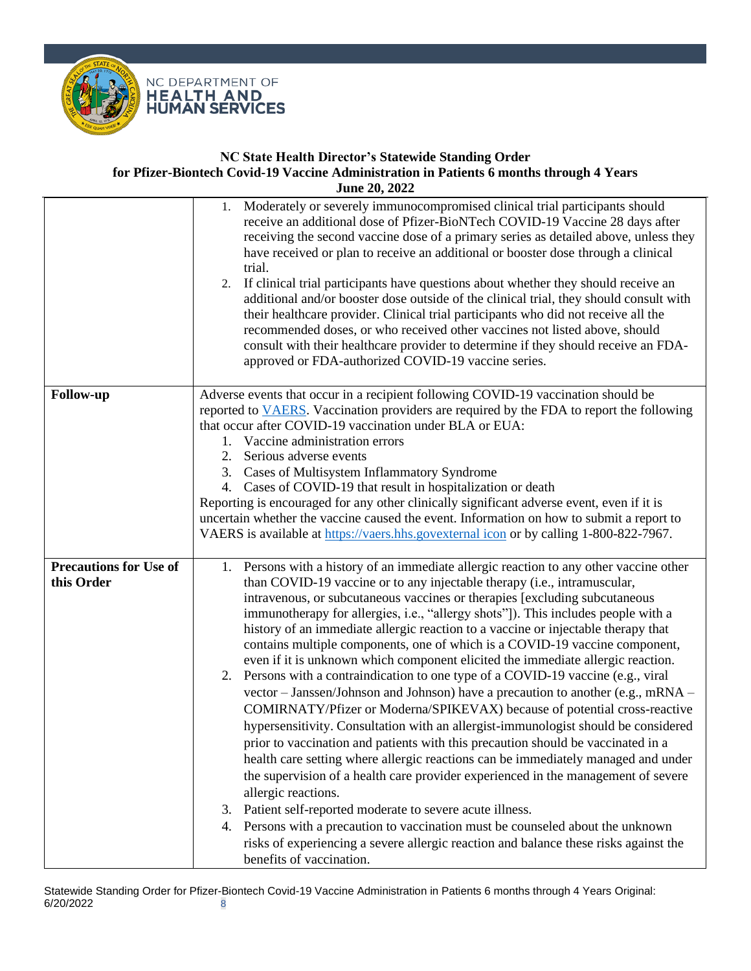



<span id="page-7-0"></span>

|                                             | Moderately or severely immunocompromised clinical trial participants should<br>1.<br>receive an additional dose of Pfizer-BioNTech COVID-19 Vaccine 28 days after<br>receiving the second vaccine dose of a primary series as detailed above, unless they<br>have received or plan to receive an additional or booster dose through a clinical<br>trial.<br>If clinical trial participants have questions about whether they should receive an<br>2.<br>additional and/or booster dose outside of the clinical trial, they should consult with<br>their healthcare provider. Clinical trial participants who did not receive all the<br>recommended doses, or who received other vaccines not listed above, should<br>consult with their healthcare provider to determine if they should receive an FDA-<br>approved or FDA-authorized COVID-19 vaccine series.                                                                                                                                                                                                                                                                                                                                                                                                                                                                                                                                                                                                                                          |
|---------------------------------------------|----------------------------------------------------------------------------------------------------------------------------------------------------------------------------------------------------------------------------------------------------------------------------------------------------------------------------------------------------------------------------------------------------------------------------------------------------------------------------------------------------------------------------------------------------------------------------------------------------------------------------------------------------------------------------------------------------------------------------------------------------------------------------------------------------------------------------------------------------------------------------------------------------------------------------------------------------------------------------------------------------------------------------------------------------------------------------------------------------------------------------------------------------------------------------------------------------------------------------------------------------------------------------------------------------------------------------------------------------------------------------------------------------------------------------------------------------------------------------------------------------------|
| <b>Follow-up</b>                            | Adverse events that occur in a recipient following COVID-19 vaccination should be<br>reported to VAERS. Vaccination providers are required by the FDA to report the following<br>that occur after COVID-19 vaccination under BLA or EUA:<br>1. Vaccine administration errors<br>Serious adverse events<br>2.<br>3. Cases of Multisystem Inflammatory Syndrome<br>4. Cases of COVID-19 that result in hospitalization or death<br>Reporting is encouraged for any other clinically significant adverse event, even if it is<br>uncertain whether the vaccine caused the event. Information on how to submit a report to<br>VAERS is available at https://vaers.hhs.govexternal icon or by calling 1-800-822-7967.                                                                                                                                                                                                                                                                                                                                                                                                                                                                                                                                                                                                                                                                                                                                                                                         |
| <b>Precautions for Use of</b><br>this Order | 1. Persons with a history of an immediate allergic reaction to any other vaccine other<br>than COVID-19 vaccine or to any injectable therapy (i.e., intramuscular,<br>intravenous, or subcutaneous vaccines or therapies [excluding subcutaneous<br>immunotherapy for allergies, i.e., "allergy shots"]). This includes people with a<br>history of an immediate allergic reaction to a vaccine or injectable therapy that<br>contains multiple components, one of which is a COVID-19 vaccine component,<br>even if it is unknown which component elicited the immediate allergic reaction.<br>Persons with a contraindication to one type of a COVID-19 vaccine (e.g., viral<br>2.<br>vector – Janssen/Johnson and Johnson) have a precaution to another (e.g., mRNA –<br>COMIRNATY/Pfizer or Moderna/SPIKEVAX) because of potential cross-reactive<br>hypersensitivity. Consultation with an allergist-immunologist should be considered<br>prior to vaccination and patients with this precaution should be vaccinated in a<br>health care setting where allergic reactions can be immediately managed and under<br>the supervision of a health care provider experienced in the management of severe<br>allergic reactions.<br>Patient self-reported moderate to severe acute illness.<br>3.<br>4. Persons with a precaution to vaccination must be counseled about the unknown<br>risks of experiencing a severe allergic reaction and balance these risks against the<br>benefits of vaccination. |